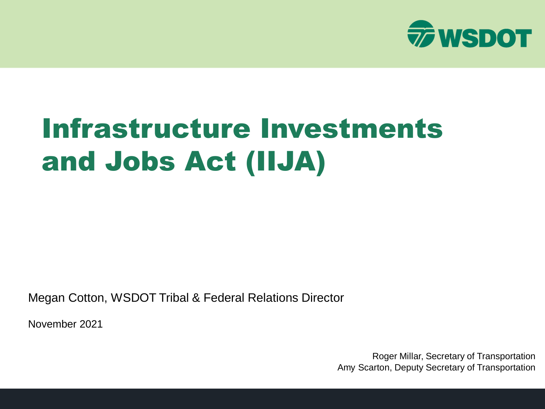

# Infrastructure Investments and Jobs Act (IIJA)

Megan Cotton, WSDOT Tribal & Federal Relations Director

November 2021

Roger Millar, Secretary of Transportation Amy Scarton, Deputy Secretary of Transportation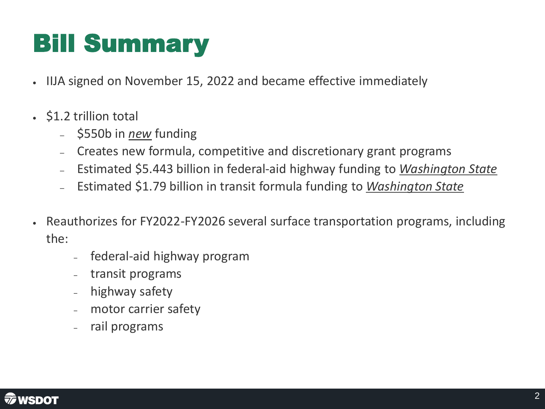### Bill Summary

- IIJA signed on November 15, 2022 and became effective immediately
- \$1.2 trillion total
	- \$550b in *new* funding
	- Creates new formula, competitive and discretionary grant programs
	- Estimated \$5.443 billion in federal-aid highway funding to *Washington State*
	- Estimated \$1.79 billion in transit formula funding to *Washington State*
- Reauthorizes for FY2022-FY2026 several surface transportation programs, including the:
	- ‒ federal-aid highway program
	- ‒ transit programs
	- highway safety
	- ‒ motor carrier safety
	- ‒ rail programs

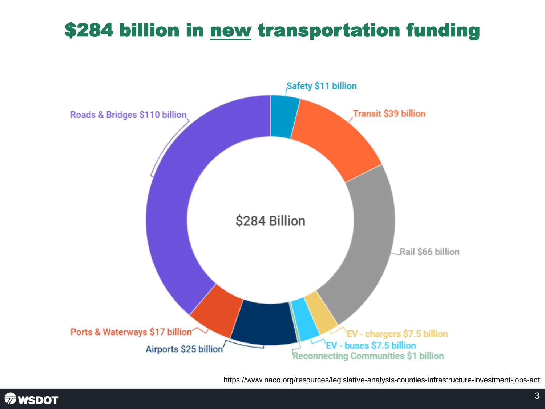### \$284 billion in new transportation funding



https://www.naco.org/resources/legislative-analysis-counties-infrastructure-investment-jobs-act

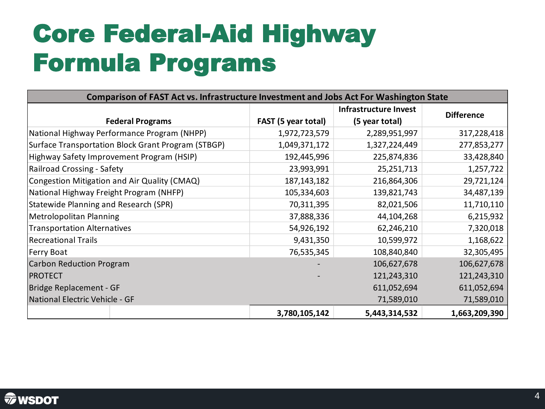### Core Federal-Aid Highway Formula Programs

| <b>Comparison of FAST Act vs. Infrastructure Investment and Jobs Act For Washington State</b> |                            |                       |                   |  |  |  |
|-----------------------------------------------------------------------------------------------|----------------------------|-----------------------|-------------------|--|--|--|
|                                                                                               |                            | Infrastructure Invest | <b>Difference</b> |  |  |  |
| <b>Federal Programs</b>                                                                       | <b>FAST (5 year total)</b> | (5 year total)        |                   |  |  |  |
| National Highway Performance Program (NHPP)                                                   | 1,972,723,579              | 2,289,951,997         | 317,228,418       |  |  |  |
| Surface Transportation Block Grant Program (STBGP)                                            | 1,049,371,172              | 1,327,224,449         | 277,853,277       |  |  |  |
| Highway Safety Improvement Program (HSIP)                                                     | 192,445,996                | 225,874,836           | 33,428,840        |  |  |  |
| Railroad Crossing - Safety                                                                    | 23,993,991                 | 25,251,713            | 1,257,722         |  |  |  |
| Congestion Mitigation and Air Quality (CMAQ)                                                  | 187,143,182                | 216,864,306           | 29,721,124        |  |  |  |
| National Highway Freight Program (NHFP)                                                       | 105,334,603                | 139,821,743           | 34,487,139        |  |  |  |
| Statewide Planning and Research (SPR)                                                         | 70,311,395                 | 82,021,506            | 11,710,110        |  |  |  |
| <b>Metrolopolitan Planning</b>                                                                | 37,888,336                 | 44,104,268            | 6,215,932         |  |  |  |
| <b>Transportation Alternatives</b>                                                            | 54,926,192                 | 62,246,210            | 7,320,018         |  |  |  |
| <b>Recreational Trails</b>                                                                    | 9,431,350                  | 10,599,972            | 1,168,622         |  |  |  |
| Ferry Boat                                                                                    | 76,535,345                 | 108,840,840           | 32,305,495        |  |  |  |
| Carbon Reduction Program                                                                      |                            | 106,627,678           | 106,627,678       |  |  |  |
| <b>PROTECT</b>                                                                                |                            | 121,243,310           | 121,243,310       |  |  |  |
| Bridge Replacement - GF                                                                       |                            | 611,052,694           | 611,052,694       |  |  |  |
| National Electric Vehicle - GF                                                                |                            | 71,589,010            | 71,589,010        |  |  |  |
|                                                                                               | 3,780,105,142              | 5,443,314,532         | 1,663,209,390     |  |  |  |

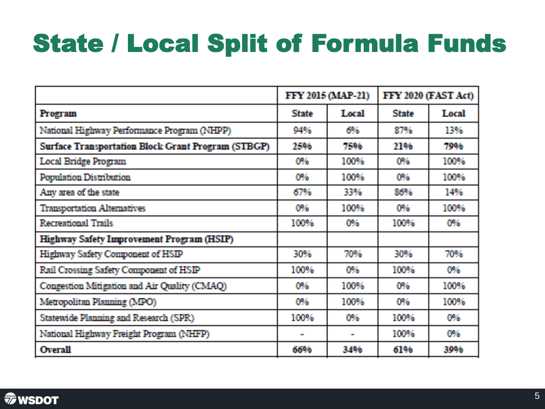### State / Local Split of Formula Funds

|                                                           | FFY 2015 (MAP-21) |              | FFY 2020 (FAST Act) |       |
|-----------------------------------------------------------|-------------------|--------------|---------------------|-------|
| <b>Program</b>                                            | <b>State</b>      | Local        | <b>State</b>        | Local |
| National Highway Performance Program (NHPP)               | 94%               | 6%           | 87%                 | 13%   |
| <b>Surface Transportation Block Grant Program (STBGP)</b> | 25%               | 7596         | 21%                 | 79%   |
| <b>Local Bridge Program</b>                               | O%.               | 100%         | <b>OW</b>           | 100%  |
| <b>Population Distribution</b>                            | 0%                | 100%         | <b>OW</b>           | 100%  |
| Any area of the state                                     | 67%               | 33%          | 86%                 | 14%   |
| <b>Transportation Alternatives</b>                        | 0%                | 100%         | <b>O%</b>           | 100%  |
| <b>Recreational Trails</b>                                | 100%              | 0%           | 100%                | 0%    |
| Highway Safety Improvement Program (HSIP)                 |                   |              |                     |       |
| Highway Safety Component of HSIP                          | 30%               | 70%          | 30%                 | 70%   |
| Rail Crossing Safety Component of HSIP                    | 100%              | 0%           | 100%                | 0%    |
| Congestion Mitigation and Air Quality (CMAQ)              | 0%                | 100%         | 0%                  | 100%  |
| Metropolitan Planning (MPO)                               | 0%                | 100%         | 0%                  | 100%  |
| <b>Statewide Planning and Research (SPR)</b>              | 100%              | 0%           | 100%                | 0%    |
| National Highway Freight Program (NHFP)                   | <b>COL</b>        | $\mathbf{r}$ | 100%                | O%    |
| <b>Overall</b>                                            | 6646              | 3496         | 6196                | 3006  |

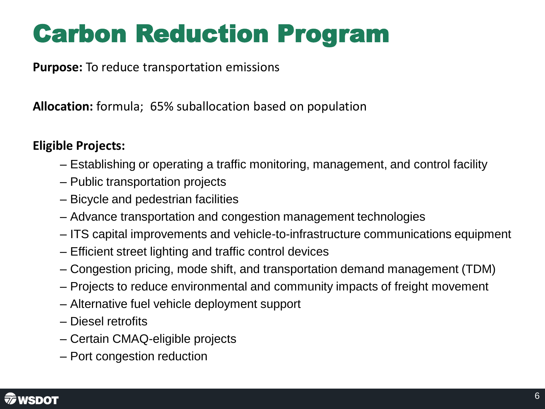### Carbon Reduction Program

**Purpose:** To reduce transportation emissions

**Allocation:** formula; 65% suballocation based on population

#### **Eligible Projects:**

- Establishing or operating a traffic monitoring, management, and control facility
- Public transportation projects
- Bicycle and pedestrian facilities
- Advance transportation and congestion management technologies
- ITS capital improvements and vehicle-to-infrastructure communications equipment
- Efficient street lighting and traffic control devices
- Congestion pricing, mode shift, and transportation demand management (TDM)
- Projects to reduce environmental and community impacts of freight movement
- Alternative fuel vehicle deployment support
- Diesel retrofits
- Certain CMAQ-eligible projects
- Port congestion reduction

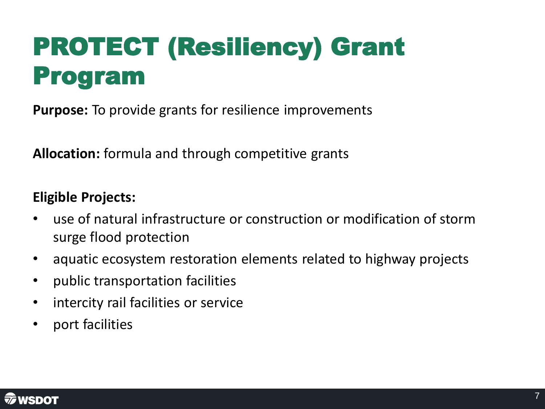# PROTECT (Resiliency) Grant Program

**Purpose:** To provide grants for resilience improvements

**Allocation:** formula and through competitive grants

### **Eligible Projects:**

- use of natural infrastructure or construction or modification of storm surge flood protection
- aquatic ecosystem restoration elements related to highway projects
- public transportation facilities
- intercity rail facilities or service
- port facilities

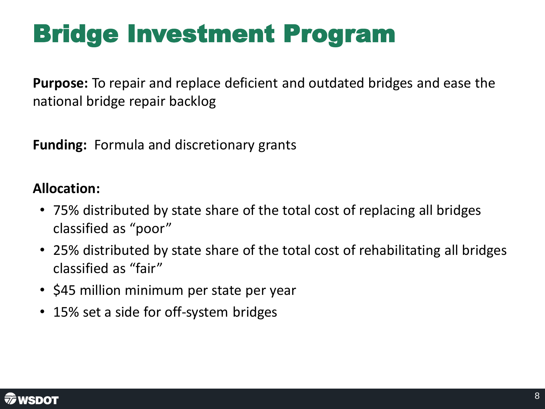### Bridge Investment Program

**Purpose:** To repair and replace deficient and outdated bridges and ease the national bridge repair backlog

**Funding:** Formula and discretionary grants

### **Allocation:**

- 75% distributed by state share of the total cost of replacing all bridges classified as "poor"
- 25% distributed by state share of the total cost of rehabilitating all bridges classified as "fair"
- \$45 million minimum per state per year
- 15% set a side for off-system bridges

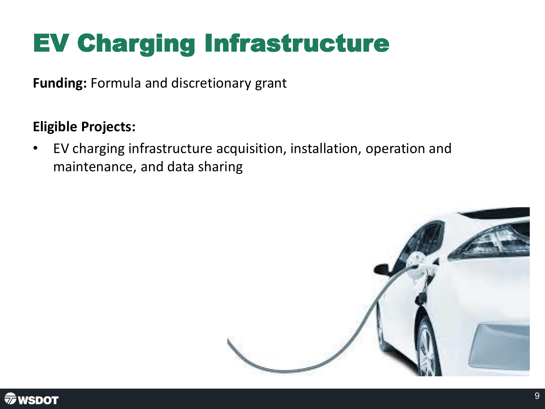# EV Charging Infrastructure

**Funding:** Formula and discretionary grant

### **Eligible Projects:**

• EV charging infrastructure acquisition, installation, operation and maintenance, and data sharing



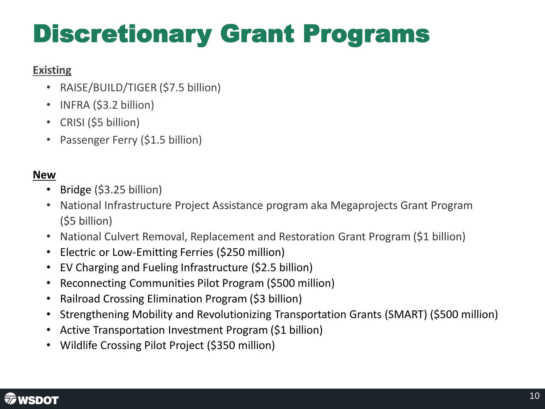# Discretionary Grant Programs

#### **Existing**

- RAISE/BUILD/TIGER (\$7.5 billion)
- INFRA (\$3.2 billion)
- CRISI (\$5 billion)
- Passenger Ferry (\$1.5 billion)

#### **New**

- Bridge (\$3.25 billion)
- National Infrastructure Project Assistance program aka Megaprojects Grant Program (\$5 billion)
- National Culvert Removal, Replacement and Restoration Grant Program (\$1 billion)
- Electric or Low-Emitting Ferries (\$250 million)
- EV Charging and Fueling Infrastructure (\$2.5 billion)
- Reconnecting Communities Pilot Program (\$500 million)
- Railroad Crossing Elimination Program (\$3 billion)
- Strengthening Mobility and Revolutionizing Transportation Grants (SMART) (\$500 million)
- Active Transportation Investment Program (\$1 billion)
- Wildlife Crossing Pilot Project (\$350 million)